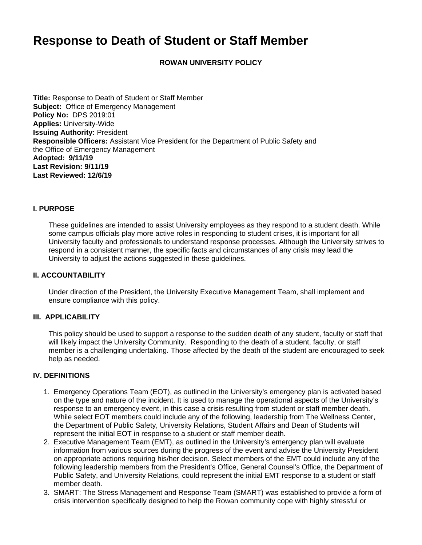# **Response to Death of Student or Staff Member**

**ROWAN UNIVERSITY POLICY**

**Title:** Response to Death of Student or Staff Member **Subject:** Office of Emergency Management **Policy No:** DPS 2019:01 **Applies:** University-Wide **Issuing Authority:** President **Responsible Officers:** Assistant Vice President for the Department of Public Safety and the Office of Emergency Management **Adopted: 9/11/19 Last Revision: 9/11/19 Last Reviewed: 12/6/19**

### **I. PURPOSE**

These guidelines are intended to assist University employees as they respond to a student death. While some campus officials play more active roles in responding to student crises, it is important for all University faculty and professionals to understand response processes. Although the University strives to respond in a consistent manner, the specific facts and circumstances of any crisis may lead the University to adjust the actions suggested in these guidelines.

### **II. ACCOUNTABILITY**

Under direction of the President, the University Executive Management Team, shall implement and ensure compliance with this policy.

#### **III. APPLICABILITY**

This policy should be used to support a response to the sudden death of any student, faculty or staff that will likely impact the University Community. Responding to the death of a student, faculty, or staff member is a challenging undertaking. Those affected by the death of the student are encouraged to seek help as needed.

### **IV. DEFINITIONS**

- 1. Emergency Operations Team (EOT), as outlined in the University's emergency plan is activated based on the type and nature of the incident. It is used to manage the operational aspects of the University's response to an emergency event, in this case a crisis resulting from student or staff member death. While select EOT members could include any of the following, leadership from The Wellness Center, the Department of Public Safety, University Relations, Student Affairs and Dean of Students will represent the initial EOT in response to a student or staff member death.
- 2. Executive Management Team (EMT), as outlined in the University's emergency plan will evaluate information from various sources during the progress of the event and advise the University President on appropriate actions requiring his/her decision. Select members of the EMT could include any of the following leadership members from the President's Office, General Counsel's Office, the Department of Public Safety, and University Relations, could represent the initial EMT response to a student or staff member death.
- 3. SMART: The Stress Management and Response Team (SMART) was established to provide a form of crisis intervention specifically designed to help the Rowan community cope with highly stressful or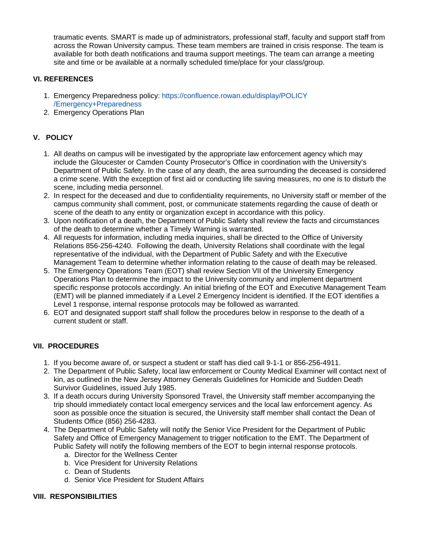traumatic events. SMART is made up of administrators, professional staff, faculty and support staff from across the Rowan University campus. These team members are trained in crisis response. The team is available for both death notifications and trauma support meetings. The team can arrange a meeting site and time or be available at a normally scheduled time/place for your class/group.

## **VI. REFERENCES**

- 1. Emergency Preparedness policy: [https://confluence.rowan.edu/display/POLICY](https://confluence.rowan.edu/display/POLICY/Emergency+Preparedness) [/Emergency+Preparedness](https://confluence.rowan.edu/display/POLICY/Emergency+Preparedness)
- 2. Emergency Operations Plan

## **V. POLICY**

- 1. All deaths on campus will be investigated by the appropriate law enforcement agency which may include the Gloucester or Camden County Prosecutor's Office in coordination with the University's Department of Public Safety. In the case of any death, the area surrounding the deceased is considered a crime scene. With the exception of first aid or conducting life saving measures, no one is to disturb the scene, including media personnel.
- 2. In respect for the deceased and due to confidentiality requirements, no University staff or member of the campus community shall comment, post, or communicate statements regarding the cause of death or scene of the death to any entity or organization except in accordance with this policy.
- 3. Upon notification of a death, the Department of Public Safety shall review the facts and circumstances of the death to determine whether a Timely Warning is warranted.
- 4. All requests for information, including media inquiries, shall be directed to the Office of University Relations 856-256-4240. Following the death, University Relations shall coordinate with the legal representative of the individual, with the Department of Public Safety and with the Executive Management Team to determine whether information relating to the cause of death may be released.
- 5. The Emergency Operations Team (EOT) shall review Section VII of the University Emergency Operations Plan to determine the impact to the University community and implement department specific response protocols accordingly. An initial briefing of the EOT and Executive Management Team (EMT) will be planned immediately if a Level 2 Emergency Incident is identified. If the EOT identifies a Level 1 response, internal response protocols may be followed as warranted.
- 6. EOT and designated support staff shall follow the procedures below in response to the death of a current student or staff.

## **VII. PROCEDURES**

- 1. If you become aware of, or suspect a student or staff has died call 9-1-1 or 856-256-4911.
- 2. The Department of Public Safety, local law enforcement or County Medical Examiner will contact next of kin, as outlined in the New Jersey Attorney Generals Guidelines for Homicide and Sudden Death Survivor Guidelines, issued July 1985.
- 3. If a death occurs during University Sponsored Travel, the University staff member accompanying the trip should immediately contact local emergency services and the local law enforcement agency. As soon as possible once the situation is secured, the University staff member shall contact the Dean of Students Office (856) 256-4283.
- 4. The Department of Public Safety will notify the Senior Vice President for the Department of Public Safety and Office of Emergency Management to trigger notification to the EMT. The Department of Public Safety will notify the following members of the EOT to begin internal response protocols.
	- a. Director for the Wellness Center
	- b. Vice President for University Relations
	- c. Dean of Students
	- d. Senior Vice President for Student Affairs

### **VIII. RESPONSIBILITIES**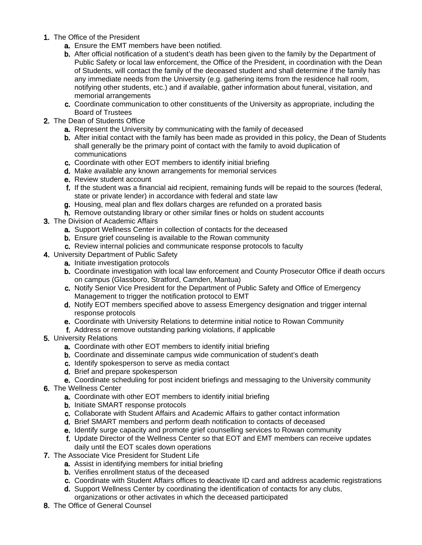- 1. The Office of the President
	- a. Ensure the EMT members have been notified.
	- b. After official notification of a student's death has been given to the family by the Department of Public Safety or local law enforcement, the Office of the President, in coordination with the Dean of Students, will contact the family of the deceased student and shall determine if the family has any immediate needs from the University (e.g. gathering items from the residence hall room, notifying other students, etc.) and if available, gather information about funeral, visitation, and memorial arrangements
	- c. Coordinate communication to other constituents of the University as appropriate, including the Board of Trustees
- 2. The Dean of Students Office
	- a. Represent the University by communicating with the family of deceased
	- b. After initial contact with the family has been made as provided in this policy, the Dean of Students shall generally be the primary point of contact with the family to avoid duplication of communications
	- c. Coordinate with other EOT members to identify initial briefing
	- d. Make available any known arrangements for memorial services
	- e. Review student account
	- f. If the student was a financial aid recipient, remaining funds will be repaid to the sources (federal, state or private lender) in accordance with federal and state law
	- g. Housing, meal plan and flex dollars charges are refunded on a prorated basis
	- h. Remove outstanding library or other similar fines or holds on student accounts
- 3. The Division of Academic Affairs
	- **a.** Support Wellness Center in collection of contacts for the deceased
	- b. Ensure grief counseling is available to the Rowan community
	- c. Review internal policies and communicate response protocols to faculty
- 4. University Department of Public Safety
	- a. Initiate investigation protocols
	- b. Coordinate investigation with local law enforcement and County Prosecutor Office if death occurs on campus (Glassboro, Stratford, Camden, Mantua)
	- c. Notify Senior Vice President for the Department of Public Safety and Office of Emergency Management to trigger the notification protocol to EMT
	- d. Notify EOT members specified above to assess Emergency designation and trigger internal response protocols
	- e. Coordinate with University Relations to determine initial notice to Rowan Community
	- f. Address or remove outstanding parking violations, if applicable
- 5. University Relations
	- **a.** Coordinate with other EOT members to identify initial briefing
	- b. Coordinate and disseminate campus wide communication of student's death
	- c. Identify spokesperson to serve as media contact
	- d. Brief and prepare spokesperson
	- e. Coordinate scheduling for post incident briefings and messaging to the University community
- 6. The Wellness Center
	- **a.** Coordinate with other EOT members to identify initial briefing
	- **b.** Initiate SMART response protocols
	- c. Collaborate with Student Affairs and Academic Affairs to gather contact information
	- d. Brief SMART members and perform death notification to contacts of deceased
	- e. Identify surge capacity and promote grief counselling services to Rowan community
	- f. Update Director of the Wellness Center so that EOT and EMT members can receive updates daily until the EOT scales down operations
- 7. The Associate Vice President for Student Life
	- a. Assist in identifying members for initial briefing
	- b. Verifies enrollment status of the deceased
	- c. Coordinate with Student Affairs offices to deactivate ID card and address academic registrations
	- d. Support Wellness Center by coordinating the identification of contacts for any clubs, organizations or other activates in which the deceased participated
- 8. The Office of General Counsel